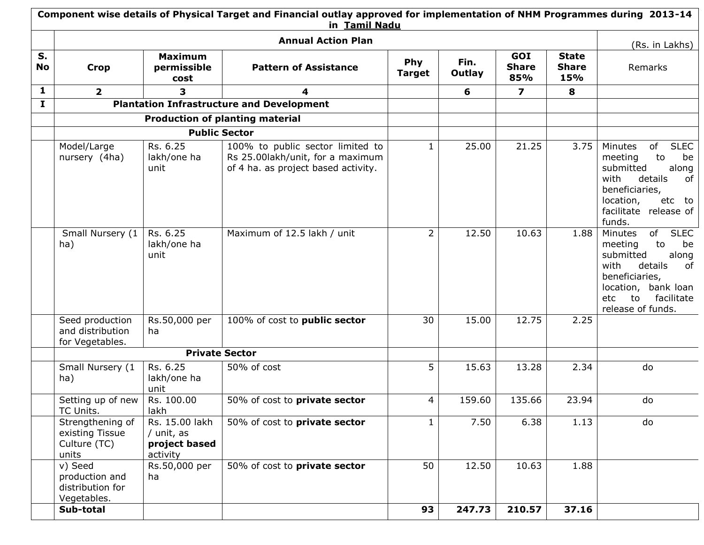|                 | Component wise details of Physical Target and Financial outlay approved for implementation of NHM Programmes during 2013-14<br>in Tamil Nadu |                                                           |                                                                                                             |                      |                |                            |                                            |                                                                                                                                                                                             |  |  |
|-----------------|----------------------------------------------------------------------------------------------------------------------------------------------|-----------------------------------------------------------|-------------------------------------------------------------------------------------------------------------|----------------------|----------------|----------------------------|--------------------------------------------|---------------------------------------------------------------------------------------------------------------------------------------------------------------------------------------------|--|--|
|                 |                                                                                                                                              |                                                           | <b>Annual Action Plan</b>                                                                                   |                      |                |                            |                                            | (Rs. in Lakhs)                                                                                                                                                                              |  |  |
| S.<br><b>No</b> | <b>Crop</b>                                                                                                                                  | <b>Maximum</b><br>permissible<br>cost                     | <b>Pattern of Assistance</b>                                                                                | Phy<br><b>Target</b> | Fin.<br>Outlay | GOI<br><b>Share</b><br>85% | <b>State</b><br><b>Share</b><br><b>15%</b> | Remarks                                                                                                                                                                                     |  |  |
| $\mathbf{1}$    | $\overline{2}$                                                                                                                               | $\overline{\mathbf{3}}$                                   | 4                                                                                                           |                      | 6              | $\overline{\mathbf{z}}$    | 8                                          |                                                                                                                                                                                             |  |  |
| $\mathbf{I}$    |                                                                                                                                              |                                                           | <b>Plantation Infrastructure and Development</b>                                                            |                      |                |                            |                                            |                                                                                                                                                                                             |  |  |
|                 |                                                                                                                                              |                                                           | <b>Production of planting material</b>                                                                      |                      |                |                            |                                            |                                                                                                                                                                                             |  |  |
|                 |                                                                                                                                              |                                                           | <b>Public Sector</b>                                                                                        |                      |                |                            |                                            |                                                                                                                                                                                             |  |  |
|                 | Model/Large<br>nursery (4ha)                                                                                                                 | Rs. 6.25<br>lakh/one ha<br>unit                           | 100% to public sector limited to<br>Rs 25.00lakh/unit, for a maximum<br>of 4 ha. as project based activity. | $\mathbf{1}$         | 25.00          | 21.25                      | 3.75                                       | <b>SLEC</b><br>of<br>Minutes<br>to<br>be<br>meeting<br>submitted<br>along<br>with<br>details<br>of<br>beneficiaries,<br>location,<br>etc to<br>facilitate release of<br>funds.              |  |  |
|                 | Small Nursery (1<br>ha)                                                                                                                      | Rs. 6.25<br>lakh/one ha<br>unit                           | Maximum of 12.5 lakh / unit                                                                                 | $\overline{2}$       | 12.50          | 10.63                      | 1.88                                       | of<br><b>SLEC</b><br>Minutes<br>meeting<br>to<br>be<br>submitted<br>along<br>with<br>details<br>of<br>beneficiaries,<br>location, bank loan<br>facilitate<br>etc<br>to<br>release of funds. |  |  |
|                 | Seed production<br>and distribution<br>for Vegetables.                                                                                       | Rs.50,000 per<br>ha                                       | 100% of cost to <b>public sector</b>                                                                        | 30                   | 15.00          | 12.75                      | 2.25                                       |                                                                                                                                                                                             |  |  |
|                 |                                                                                                                                              |                                                           | <b>Private Sector</b>                                                                                       |                      |                |                            |                                            |                                                                                                                                                                                             |  |  |
|                 | Small Nursery (1<br>ha)                                                                                                                      | Rs. 6.25<br>lakh/one ha<br>unit                           | 50% of cost                                                                                                 | 5                    | 15.63          | 13.28                      | 2.34                                       | do                                                                                                                                                                                          |  |  |
|                 | Setting up of new<br>TC Units.                                                                                                               | Rs. 100.00<br>lakh                                        | 50% of cost to <b>private sector</b>                                                                        | 4                    | 159.60         | 135.66                     | 23.94                                      | do                                                                                                                                                                                          |  |  |
|                 | Strengthening of<br>existing Tissue<br>Culture (TC)<br>units                                                                                 | Rs. 15.00 lakh<br>/ unit, as<br>project based<br>activity | 50% of cost to private sector                                                                               | $\mathbf{1}$         | 7.50           | 6.38                       | 1.13                                       | do                                                                                                                                                                                          |  |  |
|                 | v) Seed<br>production and<br>distribution for<br>Vegetables.                                                                                 | Rs.50,000 per<br>ha                                       | 50% of cost to private sector                                                                               | 50                   | 12.50          | 10.63                      | 1.88                                       |                                                                                                                                                                                             |  |  |
|                 | Sub-total                                                                                                                                    |                                                           |                                                                                                             | 93                   | 247.73         | 210.57                     | 37.16                                      |                                                                                                                                                                                             |  |  |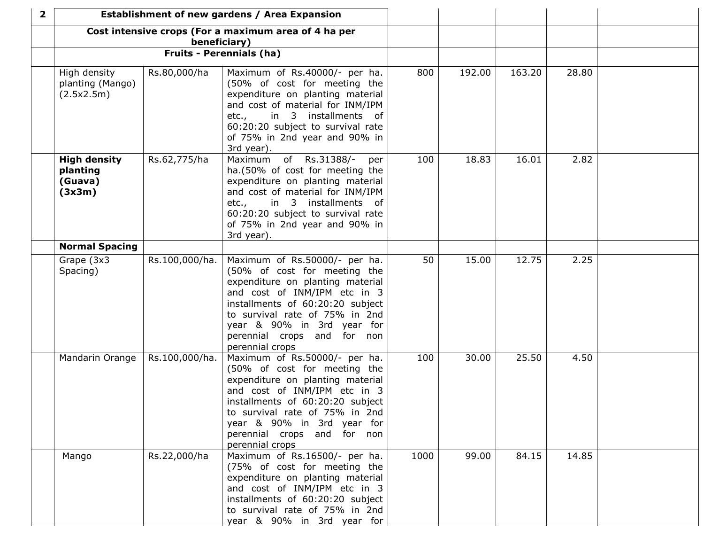| $\mathbf{2}$ | Establishment of new gardens / Area Expansion        |                |                                                                                                                                                                                                                                                                                         |      |        |        |       |  |
|--------------|------------------------------------------------------|----------------|-----------------------------------------------------------------------------------------------------------------------------------------------------------------------------------------------------------------------------------------------------------------------------------------|------|--------|--------|-------|--|
|              |                                                      |                | Cost intensive crops (For a maximum area of 4 ha per                                                                                                                                                                                                                                    |      |        |        |       |  |
|              |                                                      | beneficiary)   | <b>Fruits - Perennials (ha)</b>                                                                                                                                                                                                                                                         |      |        |        |       |  |
|              |                                                      |                |                                                                                                                                                                                                                                                                                         |      |        |        |       |  |
|              | High density<br>planting (Mango)<br>(2.5x2.5m)       | Rs.80,000/ha   | Maximum of Rs.40000/- per ha.<br>(50% of cost for meeting the<br>expenditure on planting material<br>and cost of material for INM/IPM<br>in 3 installments of<br>etc.,<br>60:20:20 subject to survival rate<br>of 75% in 2nd year and 90% in<br>3rd year).                              | 800  | 192.00 | 163.20 | 28.80 |  |
|              | <b>High density</b><br>planting<br>(Guava)<br>(3x3m) | Rs.62,775/ha   | Maximum of Rs.31388/-<br>per<br>ha.(50% of cost for meeting the<br>expenditure on planting material<br>and cost of material for INM/IPM<br>etc., in 3 installments of<br>60:20:20 subject to survival rate<br>of 75% in 2nd year and 90% in<br>3rd year).                               | 100  | 18.83  | 16.01  | 2.82  |  |
|              | <b>Normal Spacing</b>                                |                |                                                                                                                                                                                                                                                                                         |      |        |        |       |  |
|              | Grape (3x3<br>Spacing)                               | Rs.100,000/ha. | Maximum of Rs.50000/- per ha.<br>(50% of cost for meeting the<br>expenditure on planting material<br>and cost of INM/IPM etc in 3<br>installments of 60:20:20 subject<br>to survival rate of 75% in 2nd<br>year & 90% in 3rd year for<br>perennial crops and for non<br>perennial crops | 50   | 15.00  | 12.75  | 2.25  |  |
|              | Mandarin Orange                                      | Rs.100,000/ha. | Maximum of Rs.50000/- per ha.<br>(50% of cost for meeting the<br>expenditure on planting material<br>and cost of INM/IPM etc in 3<br>installments of 60:20:20 subject<br>to survival rate of 75% in 2nd<br>year & 90% in 3rd year for<br>perennial crops and for non<br>perennial crops | 100  | 30.00  | 25.50  | 4.50  |  |
|              | Mango                                                | Rs.22,000/ha   | Maximum of Rs.16500/- per ha.<br>(75% of cost for meeting the<br>expenditure on planting material<br>and cost of INM/IPM etc in 3<br>installments of 60:20:20 subject<br>to survival rate of 75% in 2nd<br>year & 90% in 3rd year for                                                   | 1000 | 99.00  | 84.15  | 14.85 |  |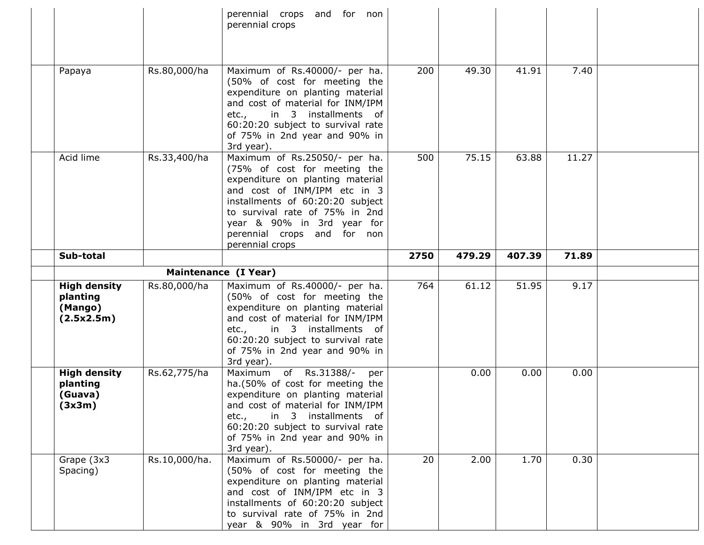|                                                          |              | perennial crops and for non<br>perennial crops                                                                                                                                                                                                                                                |      |        |        |              |  |
|----------------------------------------------------------|--------------|-----------------------------------------------------------------------------------------------------------------------------------------------------------------------------------------------------------------------------------------------------------------------------------------------|------|--------|--------|--------------|--|
| Papaya                                                   | Rs.80,000/ha | Maximum of Rs.40000/- per ha.<br>(50% of cost for meeting the<br>expenditure on planting material<br>and cost of material for INM/IPM<br>in 3 installments of<br>etc.,<br>60:20:20 subject to survival rate<br>of 75% in 2nd year and 90% in<br>3rd year).                                    | 200  | 49.30  | 41.91  | 7.40         |  |
| Acid lime                                                | Rs.33,400/ha | Maximum of Rs.25050/- per ha.<br>(75% of cost for meeting the<br>expenditure on planting material<br>and cost of INM/IPM etc in 3<br>installments of 60:20:20 subject<br>to survival rate of 75% in 2nd<br>year & 90% in 3rd year for<br>perennial crops and for non<br>perennial crops       | 500  | 75.15  | 63.88  | 11.27        |  |
| Sub-total                                                |              |                                                                                                                                                                                                                                                                                               | 2750 | 479.29 | 407.39 | 71.89        |  |
|                                                          |              | Maintenance (I Year)                                                                                                                                                                                                                                                                          |      |        |        |              |  |
| <b>High density</b><br>planting<br>(Mango)<br>(2.5x2.5m) | Rs.80,000/ha | Maximum of Rs.40000/- per ha.<br>(50% of cost for meeting the<br>expenditure on planting material<br>and cost of material for INM/IPM<br>in 3 installments of<br>etc.,                                                                                                                        | 764  | 61.12  | 51.95  | 9.17         |  |
|                                                          |              | 60:20:20 subject to survival rate<br>of 75% in 2nd year and 90% in<br>3rd year).                                                                                                                                                                                                              |      |        |        |              |  |
| <b>High density</b><br>planting<br>(Guava)<br>(3x3m)     | Rs.62,775/ha | Maximum of Rs.31388/-<br>per<br>ha.(50% of cost for meeting the<br>expenditure on planting material<br>and cost of material for INM/IPM<br>in 3 installments of<br>etc.,<br>60:20:20 subject to survival rate<br>of 75% in 2nd year and 90% in<br>3rd year).<br>Maximum of Rs.50000/- per ha. |      | 0.00   | 0.00   | 0.00<br>0.30 |  |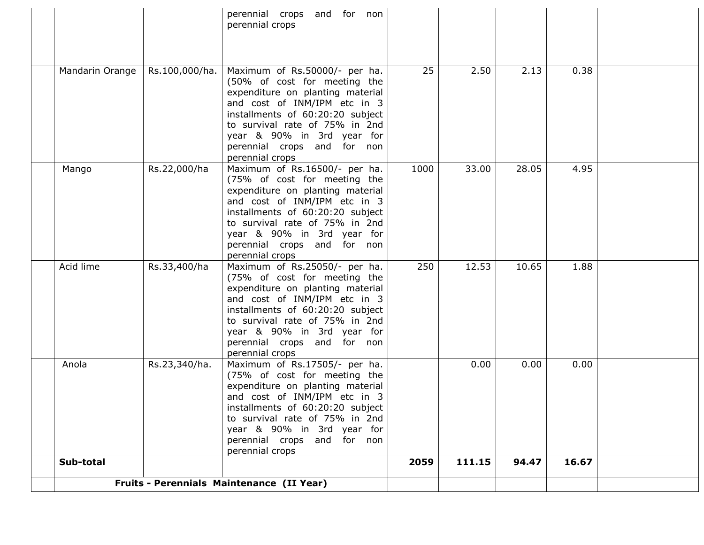|                 |                | perennial crops and for non<br>perennial crops                                                                                                                                                                                                                                          |      |        |       |       |  |
|-----------------|----------------|-----------------------------------------------------------------------------------------------------------------------------------------------------------------------------------------------------------------------------------------------------------------------------------------|------|--------|-------|-------|--|
|                 |                |                                                                                                                                                                                                                                                                                         |      |        |       |       |  |
| Mandarin Orange | Rs.100,000/ha. | Maximum of Rs.50000/- per ha.<br>(50% of cost for meeting the<br>expenditure on planting material<br>and cost of INM/IPM etc in 3<br>installments of 60:20:20 subject<br>to survival rate of 75% in 2nd<br>year & 90% in 3rd year for<br>perennial crops and for non<br>perennial crops | 25   | 2.50   | 2.13  | 0.38  |  |
| Mango           | Rs.22,000/ha   | Maximum of Rs.16500/- per ha.<br>(75% of cost for meeting the<br>expenditure on planting material<br>and cost of INM/IPM etc in 3<br>installments of 60:20:20 subject<br>to survival rate of 75% in 2nd<br>year & 90% in 3rd year for<br>perennial crops and for non<br>perennial crops | 1000 | 33.00  | 28.05 | 4.95  |  |
| Acid lime       | Rs.33,400/ha   | Maximum of Rs.25050/- per ha.<br>(75% of cost for meeting the<br>expenditure on planting material<br>and cost of INM/IPM etc in 3<br>installments of 60:20:20 subject<br>to survival rate of 75% in 2nd<br>year & 90% in 3rd year for<br>perennial crops and for non<br>perennial crops | 250  | 12.53  | 10.65 | 1.88  |  |
| Anola           | Rs.23,340/ha.  | Maximum of Rs.17505/- per ha.<br>(75% of cost for meeting the<br>expenditure on planting material<br>and cost of INM/IPM etc in 3<br>installments of 60:20:20 subject<br>to survival rate of 75% in 2nd<br>year & 90% in 3rd year for<br>perennial crops and for non<br>perennial crops |      | 0.00   | 0.00  | 0.00  |  |
| Sub-total       |                |                                                                                                                                                                                                                                                                                         | 2059 | 111.15 | 94.47 | 16.67 |  |
|                 |                | Fruits - Perennials Maintenance (II Year)                                                                                                                                                                                                                                               |      |        |       |       |  |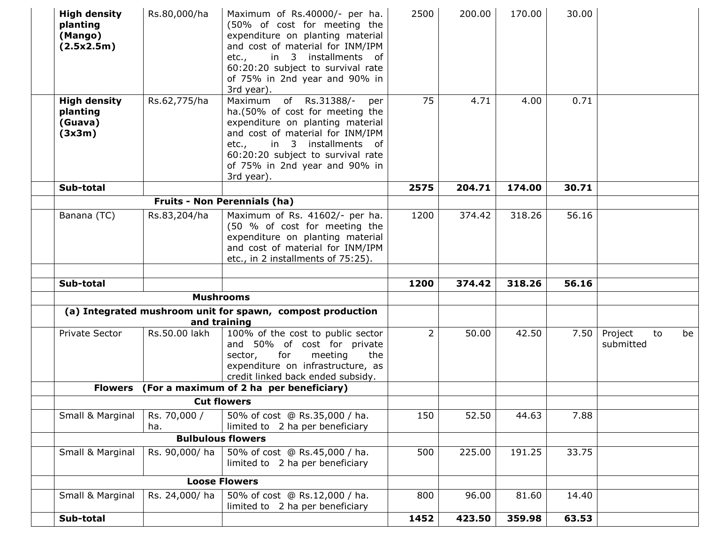| <b>High density</b><br>planting<br>(Mango)<br>(2.5x2.5m) | Rs.80,000/ha        | Maximum of Rs.40000/- per ha.<br>(50% of cost for meeting the<br>expenditure on planting material<br>and cost of material for INM/IPM<br>in 3 installments of<br>etc.,                                                                                       | 2500           | 200.00 | 170.00 | 30.00 |                            |    |
|----------------------------------------------------------|---------------------|--------------------------------------------------------------------------------------------------------------------------------------------------------------------------------------------------------------------------------------------------------------|----------------|--------|--------|-------|----------------------------|----|
|                                                          |                     | 60:20:20 subject to survival rate<br>of 75% in 2nd year and 90% in<br>3rd year).                                                                                                                                                                             |                |        |        |       |                            |    |
| <b>High density</b><br>planting<br>(Guava)<br>(3x3m)     | Rs.62,775/ha        | Maximum of Rs.31388/-<br>per<br>ha.(50% of cost for meeting the<br>expenditure on planting material<br>and cost of material for INM/IPM<br>in 3 installments of<br>etc.,<br>60:20:20 subject to survival rate<br>of 75% in 2nd year and 90% in<br>3rd year). | 75             | 4.71   | 4.00   | 0.71  |                            |    |
| Sub-total                                                |                     |                                                                                                                                                                                                                                                              | 2575           | 204.71 | 174.00 | 30.71 |                            |    |
|                                                          |                     | <b>Fruits - Non Perennials (ha)</b>                                                                                                                                                                                                                          |                |        |        |       |                            |    |
| Banana (TC)                                              | Rs.83,204/ha        | Maximum of Rs. 41602/- per ha.<br>(50 % of cost for meeting the<br>expenditure on planting material<br>and cost of material for INM/IPM<br>etc., in 2 installments of 75:25).                                                                                | 1200           | 374.42 | 318.26 | 56.16 |                            |    |
| Sub-total                                                |                     |                                                                                                                                                                                                                                                              | 1200           | 374.42 | 318.26 | 56.16 |                            |    |
|                                                          |                     | <b>Mushrooms</b>                                                                                                                                                                                                                                             |                |        |        |       |                            |    |
|                                                          |                     | (a) Integrated mushroom unit for spawn, compost production<br>and training                                                                                                                                                                                   |                |        |        |       |                            |    |
| Private Sector                                           | Rs.50.00 lakh       | 100% of the cost to public sector<br>and 50% of cost for private<br>for<br>meeting<br>the<br>sector,<br>expenditure on infrastructure, as<br>credit linked back ended subsidy.                                                                               | $\overline{2}$ | 50.00  | 42.50  | 7.50  | Project<br>to<br>submitted | be |
| <b>Flowers</b>                                           |                     | (For a maximum of 2 ha per beneficiary)                                                                                                                                                                                                                      |                |        |        |       |                            |    |
|                                                          |                     | <b>Cut flowers</b>                                                                                                                                                                                                                                           |                |        |        |       |                            |    |
| Small & Marginal                                         | Rs. 70,000 /<br>ha. | 50% of cost @ Rs.35,000 / ha.<br>limited to 2 ha per beneficiary                                                                                                                                                                                             | 150            | 52.50  | 44.63  | 7.88  |                            |    |
|                                                          |                     | <b>Bulbulous flowers</b>                                                                                                                                                                                                                                     |                |        |        |       |                            |    |
| Small & Marginal                                         | Rs. 90,000/ha       | 50% of cost @ Rs.45,000 / ha.<br>limited to 2 ha per beneficiary                                                                                                                                                                                             | 500            | 225.00 | 191.25 | 33.75 |                            |    |
|                                                          |                     | <b>Loose Flowers</b>                                                                                                                                                                                                                                         |                |        |        |       |                            |    |
| Small & Marginal                                         | Rs. 24,000/ha       | 50% of cost @ Rs.12,000 / ha.<br>limited to 2 ha per beneficiary                                                                                                                                                                                             | 800            | 96.00  | 81.60  | 14.40 |                            |    |
| Sub-total                                                |                     |                                                                                                                                                                                                                                                              | 1452           | 423.50 | 359.98 | 63.53 |                            |    |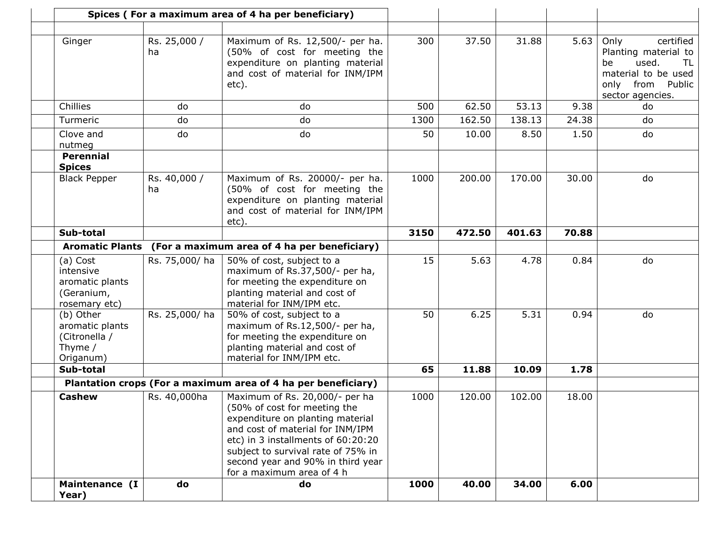|                                                                         |                    | Spices (For a maximum area of 4 ha per beneficiary)                                                                                                                                                                                                                                  |      |        |        |       |                                                                                                                                     |
|-------------------------------------------------------------------------|--------------------|--------------------------------------------------------------------------------------------------------------------------------------------------------------------------------------------------------------------------------------------------------------------------------------|------|--------|--------|-------|-------------------------------------------------------------------------------------------------------------------------------------|
|                                                                         |                    |                                                                                                                                                                                                                                                                                      |      |        |        |       |                                                                                                                                     |
| Ginger                                                                  | Rs. 25,000 /<br>ha | Maximum of Rs. 12,500/- per ha.<br>(50% of cost for meeting the<br>expenditure on planting material<br>and cost of material for INM/IPM<br>etc).                                                                                                                                     | 300  | 37.50  | 31.88  | 5.63  | Only<br>certified<br>Planting material to<br>used.<br>be<br>TL<br>material to be used<br>only<br>from<br>Public<br>sector agencies. |
| Chillies                                                                | do                 | do                                                                                                                                                                                                                                                                                   | 500  | 62.50  | 53.13  | 9.38  | do                                                                                                                                  |
| Turmeric                                                                | do                 | do                                                                                                                                                                                                                                                                                   | 1300 | 162.50 | 138.13 | 24.38 | do                                                                                                                                  |
| Clove and<br>nutmeg                                                     | do                 | do                                                                                                                                                                                                                                                                                   | 50   | 10.00  | 8.50   | 1.50  | do                                                                                                                                  |
| <b>Perennial</b><br><b>Spices</b>                                       |                    |                                                                                                                                                                                                                                                                                      |      |        |        |       |                                                                                                                                     |
| <b>Black Pepper</b>                                                     | Rs. 40,000 /<br>ha | Maximum of Rs. 20000/- per ha.<br>(50% of cost for meeting the<br>expenditure on planting material<br>and cost of material for INM/IPM<br>etc).                                                                                                                                      | 1000 | 200.00 | 170.00 | 30.00 | do                                                                                                                                  |
| Sub-total                                                               |                    |                                                                                                                                                                                                                                                                                      | 3150 | 472.50 | 401.63 | 70.88 |                                                                                                                                     |
|                                                                         |                    | Aromatic Plants (For a maximum area of 4 ha per beneficiary)                                                                                                                                                                                                                         |      |        |        |       |                                                                                                                                     |
| (a) Cost<br>intensive<br>aromatic plants<br>(Geranium,<br>rosemary etc) | Rs. 75,000/ ha     | 50% of cost, subject to a<br>maximum of Rs.37,500/- per ha,<br>for meeting the expenditure on<br>planting material and cost of<br>material for INM/IPM etc.                                                                                                                          | 15   | 5.63   | 4.78   | 0.84  | do                                                                                                                                  |
| (b) Other<br>aromatic plants<br>(Citronella /<br>Thyme /<br>Origanum)   | Rs. 25,000/ha      | 50% of cost, subject to a<br>maximum of Rs.12,500/- per ha,<br>for meeting the expenditure on<br>planting material and cost of<br>material for INM/IPM etc.                                                                                                                          | 50   | 6.25   | 5.31   | 0.94  | do                                                                                                                                  |
| Sub-total                                                               |                    |                                                                                                                                                                                                                                                                                      | 65   | 11.88  | 10.09  | 1.78  |                                                                                                                                     |
|                                                                         |                    | Plantation crops (For a maximum area of 4 ha per beneficiary)                                                                                                                                                                                                                        |      |        |        |       |                                                                                                                                     |
| <b>Cashew</b>                                                           | Rs. 40,000ha       | Maximum of Rs. 20,000/- per ha<br>(50% of cost for meeting the<br>expenditure on planting material<br>and cost of material for INM/IPM<br>etc) in 3 installments of 60:20:20<br>subject to survival rate of 75% in<br>second year and 90% in third year<br>for a maximum area of 4 h | 1000 | 120.00 | 102.00 | 18.00 |                                                                                                                                     |
| Maintenance (I<br>Year)                                                 | do                 | do                                                                                                                                                                                                                                                                                   | 1000 | 40.00  | 34.00  | 6.00  |                                                                                                                                     |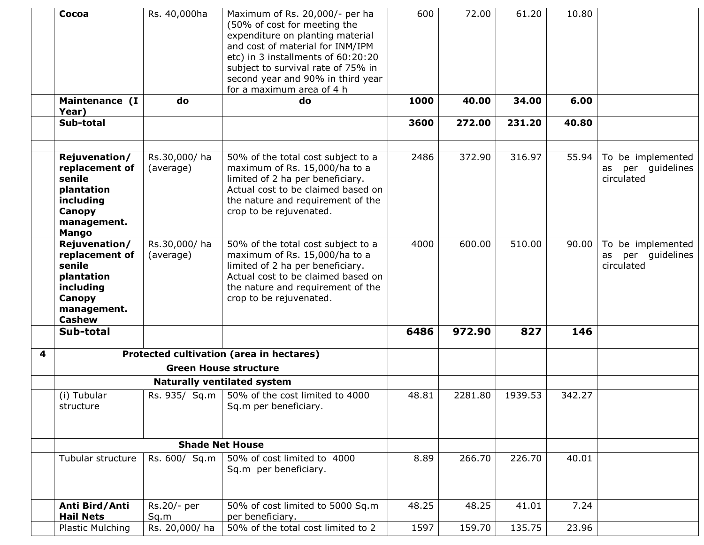|   | Cocoa                                                                                                          | Rs. 40,000ha              | Maximum of Rs. 20,000/- per ha<br>(50% of cost for meeting the<br>expenditure on planting material<br>and cost of material for INM/IPM<br>etc) in 3 installments of 60:20:20<br>subject to survival rate of 75% in<br>second year and 90% in third year<br>for a maximum area of 4 h | 600   | 72.00   | 61.20   | 10.80  |                                                         |
|---|----------------------------------------------------------------------------------------------------------------|---------------------------|--------------------------------------------------------------------------------------------------------------------------------------------------------------------------------------------------------------------------------------------------------------------------------------|-------|---------|---------|--------|---------------------------------------------------------|
|   | Maintenance (I<br>Year)                                                                                        | do                        | do                                                                                                                                                                                                                                                                                   | 1000  | 40.00   | 34.00   | 6.00   |                                                         |
|   | Sub-total                                                                                                      |                           |                                                                                                                                                                                                                                                                                      | 3600  | 272.00  | 231.20  | 40.80  |                                                         |
|   | Rejuvenation/<br>replacement of<br>senile<br>plantation<br>including<br>Canopy<br>management.<br><b>Mango</b>  | Rs.30,000/ha<br>(average) | 50% of the total cost subject to a<br>maximum of Rs. 15,000/ha to a<br>limited of 2 ha per beneficiary.<br>Actual cost to be claimed based on<br>the nature and requirement of the<br>crop to be rejuvenated.                                                                        | 2486  | 372.90  | 316.97  | 55.94  | To be implemented<br>per guidelines<br>as<br>circulated |
|   | Rejuvenation/<br>replacement of<br>senile<br>plantation<br>including<br>Canopy<br>management.<br><b>Cashew</b> | Rs.30,000/ha<br>(average) | 50% of the total cost subject to a<br>maximum of Rs. 15,000/ha to a<br>limited of 2 ha per beneficiary.<br>Actual cost to be claimed based on<br>the nature and requirement of the<br>crop to be rejuvenated.                                                                        | 4000  | 600.00  | 510.00  | 90.00  | To be implemented<br>per guidelines<br>as<br>circulated |
|   | Sub-total                                                                                                      |                           |                                                                                                                                                                                                                                                                                      | 6486  | 972.90  | 827     | 146    |                                                         |
| 4 |                                                                                                                |                           | Protected cultivation (area in hectares)                                                                                                                                                                                                                                             |       |         |         |        |                                                         |
|   |                                                                                                                |                           | <b>Green House structure</b>                                                                                                                                                                                                                                                         |       |         |         |        |                                                         |
|   |                                                                                                                |                           | <b>Naturally ventilated system</b>                                                                                                                                                                                                                                                   |       |         |         |        |                                                         |
|   | (i) Tubular<br>structure                                                                                       | Rs. 935/ Sq.m             | 50% of the cost limited to 4000<br>Sq.m per beneficiary.                                                                                                                                                                                                                             | 48.81 | 2281.80 | 1939.53 | 342.27 |                                                         |
|   |                                                                                                                |                           | <b>Shade Net House</b>                                                                                                                                                                                                                                                               |       |         |         |        |                                                         |
|   | Tubular structure                                                                                              | Rs. 600/ Sq.m             | 50% of cost limited to 4000<br>Sq.m per beneficiary.                                                                                                                                                                                                                                 | 8.89  | 266.70  | 226.70  | 40.01  |                                                         |
|   | Anti Bird/Anti<br><b>Hail Nets</b>                                                                             | Rs.20/- per<br>Sq.m       | 50% of cost limited to 5000 Sq.m<br>per beneficiary.                                                                                                                                                                                                                                 | 48.25 | 48.25   | 41.01   | 7.24   |                                                         |
|   | Plastic Mulching                                                                                               | Rs. 20,000/ha             | 50% of the total cost limited to 2                                                                                                                                                                                                                                                   | 1597  | 159.70  | 135.75  | 23.96  |                                                         |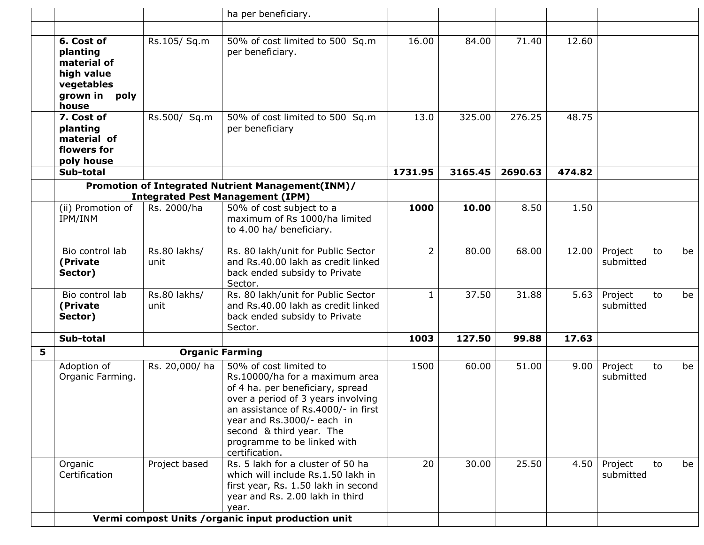|   |                                                                                             |                      | ha per beneficiary.                                                                                                                                                                                                                                                                  |                |         |         |        |                            |    |
|---|---------------------------------------------------------------------------------------------|----------------------|--------------------------------------------------------------------------------------------------------------------------------------------------------------------------------------------------------------------------------------------------------------------------------------|----------------|---------|---------|--------|----------------------------|----|
|   |                                                                                             |                      |                                                                                                                                                                                                                                                                                      |                |         |         |        |                            |    |
|   | 6. Cost of<br>planting<br>material of<br>high value<br>vegetables<br>grown in poly<br>house | Rs.105/ Sq.m         | 50% of cost limited to 500 Sq.m<br>per beneficiary.                                                                                                                                                                                                                                  | 16.00          | 84.00   | 71.40   | 12.60  |                            |    |
|   | 7. Cost of<br>planting<br>material of<br>flowers for<br>poly house                          | Rs.500/ Sq.m         | 50% of cost limited to 500 Sq.m<br>per beneficiary                                                                                                                                                                                                                                   | 13.0           | 325.00  | 276.25  | 48.75  |                            |    |
|   | Sub-total                                                                                   |                      |                                                                                                                                                                                                                                                                                      | 1731.95        | 3165.45 | 2690.63 | 474.82 |                            |    |
|   |                                                                                             |                      | Promotion of Integrated Nutrient Management(INM)/<br><b>Integrated Pest Management (IPM)</b>                                                                                                                                                                                         |                |         |         |        |                            |    |
|   | (ii) Promotion of<br>IPM/INM                                                                | Rs. 2000/ha          | 50% of cost subject to a<br>maximum of Rs 1000/ha limited<br>to 4.00 ha/ beneficiary.                                                                                                                                                                                                | 1000           | 10.00   | 8.50    | 1.50   |                            |    |
|   | Bio control lab<br>(Private<br>Sector)                                                      | Rs.80 lakhs/<br>unit | Rs. 80 lakh/unit for Public Sector<br>and Rs.40.00 lakh as credit linked<br>back ended subsidy to Private<br>Sector.                                                                                                                                                                 | $\overline{2}$ | 80.00   | 68.00   | 12.00  | Project<br>to<br>submitted | be |
|   | Bio control lab<br>(Private<br>Sector)                                                      | Rs.80 lakhs/<br>unit | Rs. 80 lakh/unit for Public Sector<br>and Rs.40.00 lakh as credit linked<br>back ended subsidy to Private<br>Sector.                                                                                                                                                                 | $\mathbf{1}$   | 37.50   | 31.88   | 5.63   | Project<br>to<br>submitted | be |
|   | Sub-total                                                                                   |                      |                                                                                                                                                                                                                                                                                      | 1003           | 127.50  | 99.88   | 17.63  |                            |    |
| 5 |                                                                                             |                      | <b>Organic Farming</b>                                                                                                                                                                                                                                                               |                |         |         |        |                            |    |
|   | Adoption of<br>Organic Farming.                                                             | Rs. 20,000/ha        | 50% of cost limited to<br>Rs.10000/ha for a maximum area<br>of 4 ha. per beneficiary, spread<br>over a period of 3 years involving<br>an assistance of Rs.4000/- in first<br>year and Rs.3000/- each in<br>second & third year. The<br>programme to be linked with<br>certification. | 1500           | 60.00   | 51.00   | 9.00   | Project<br>to<br>submitted | be |
|   | Organic<br>Certification                                                                    | Project based        | Rs. 5 lakh for a cluster of 50 ha<br>which will include Rs.1.50 lakh in<br>first year, Rs. 1.50 lakh in second<br>year and Rs. 2.00 lakh in third<br>year.                                                                                                                           | 20             | 30.00   | 25.50   | 4.50   | Project<br>to<br>submitted | be |
|   |                                                                                             |                      | Vermi compost Units / organic input production unit                                                                                                                                                                                                                                  |                |         |         |        |                            |    |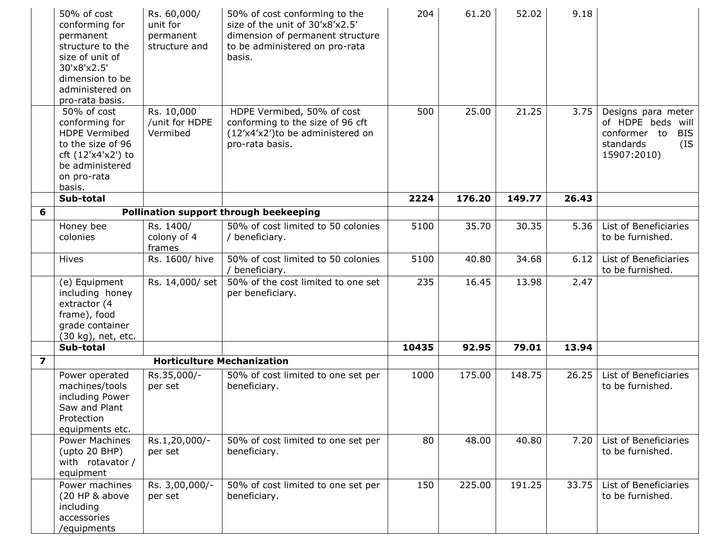|                         | 50% of cost<br>conforming for<br>permanent<br>structure to the<br>size of unit of<br>30'x8'x2.5'<br>dimension to be<br>administered on<br>pro-rata basis. | Rs. 60,000/<br>unit for<br>permanent<br>structure and | 50% of cost conforming to the<br>size of the unit of 30'x8'x2.5'<br>dimension of permanent structure<br>to be administered on pro-rata<br>basis. | 204   | 61.20  | 52.02  | 9.18  |                                                                                                          |
|-------------------------|-----------------------------------------------------------------------------------------------------------------------------------------------------------|-------------------------------------------------------|--------------------------------------------------------------------------------------------------------------------------------------------------|-------|--------|--------|-------|----------------------------------------------------------------------------------------------------------|
|                         | 50% of cost<br>conforming for<br><b>HDPE Vermibed</b><br>to the size of 96<br>cft (12'x4'x2') to<br>be administered<br>on pro-rata<br>basis.              | Rs. 10,000<br>/unit for HDPE<br>Vermibed              | HDPE Vermibed, 50% of cost<br>conforming to the size of 96 cft<br>(12'x4'x2')to be administered on<br>pro-rata basis.                            | 500   | 25.00  | 21.25  | 3.75  | Designs para meter<br>of HDPE beds will<br>conformer to<br><b>BIS</b><br>(IS<br>standards<br>15907:2010) |
|                         | Sub-total                                                                                                                                                 |                                                       |                                                                                                                                                  | 2224  | 176.20 | 149.77 | 26.43 |                                                                                                          |
| 6                       |                                                                                                                                                           |                                                       | Pollination support through beekeeping                                                                                                           |       |        |        |       |                                                                                                          |
|                         | Honey bee<br>colonies                                                                                                                                     | Rs. 1400/<br>colony of 4<br>frames                    | 50% of cost limited to 50 colonies<br>/ beneficiary.                                                                                             | 5100  | 35.70  | 30.35  | 5.36  | List of Beneficiaries<br>to be furnished.                                                                |
|                         | Hives                                                                                                                                                     | Rs. 1600/ hive                                        | 50% of cost limited to 50 colonies<br>/ beneficiary.                                                                                             | 5100  | 40.80  | 34.68  | 6.12  | List of Beneficiaries<br>to be furnished.                                                                |
|                         | (e) Equipment<br>including honey<br>extractor (4<br>frame), food<br>grade container<br>(30 kg), net, etc.                                                 | Rs. 14,000/ set                                       | 50% of the cost limited to one set<br>per beneficiary.                                                                                           | 235   | 16.45  | 13.98  | 2.47  |                                                                                                          |
|                         | Sub-total                                                                                                                                                 |                                                       |                                                                                                                                                  | 10435 | 92.95  | 79.01  | 13.94 |                                                                                                          |
| $\overline{\mathbf{z}}$ |                                                                                                                                                           | <b>Horticulture Mechanization</b>                     |                                                                                                                                                  |       |        |        |       |                                                                                                          |
|                         | Power operated<br>machines/tools<br>including Power<br>Saw and Plant<br>Protection<br>equipments etc.                                                     | Rs.35,000/-<br>per set                                | 50% of cost limited to one set per<br>beneficiary.                                                                                               | 1000  | 175.00 | 148.75 | 26.25 | List of Beneficiaries<br>to be furnished.                                                                |
|                         | <b>Power Machines</b><br>$($ upto 20 BHP $)$<br>with rotavator /<br>equipment                                                                             | Rs.1,20,000/-<br>per set                              | 50% of cost limited to one set per<br>beneficiary.                                                                                               | 80    | 48.00  | 40.80  | 7.20  | List of Beneficiaries<br>to be furnished.                                                                |
|                         | Power machines<br>(20 HP & above<br>including<br>accessories<br>/equipments                                                                               | Rs. 3,00,000/-<br>per set                             | 50% of cost limited to one set per<br>beneficiary.                                                                                               | 150   | 225.00 | 191.25 | 33.75 | List of Beneficiaries<br>to be furnished.                                                                |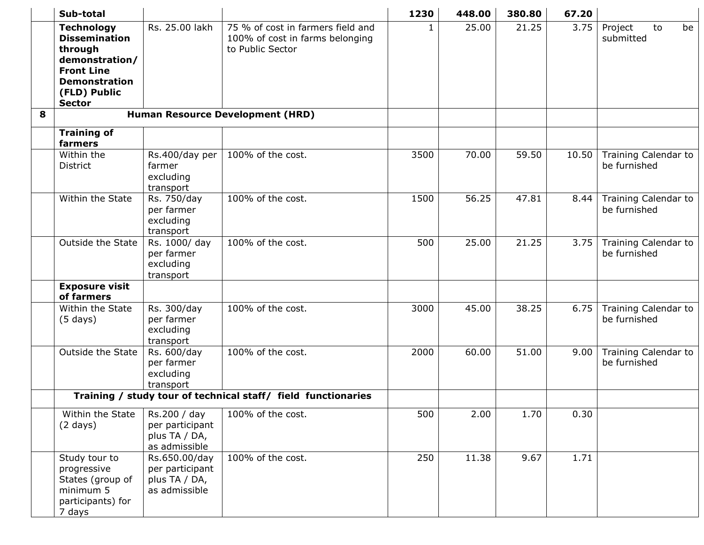|   | Sub-total                                                                                                                                            |                                                                    |                                                                                          | 1230         | 448.00 | 380.80 | 67.20 |                                      |
|---|------------------------------------------------------------------------------------------------------------------------------------------------------|--------------------------------------------------------------------|------------------------------------------------------------------------------------------|--------------|--------|--------|-------|--------------------------------------|
|   | <b>Technology</b><br><b>Dissemination</b><br>through<br>demonstration/<br><b>Front Line</b><br><b>Demonstration</b><br>(FLD) Public<br><b>Sector</b> | Rs. 25.00 lakh                                                     | 75 % of cost in farmers field and<br>100% of cost in farms belonging<br>to Public Sector | $\mathbf{1}$ | 25.00  | 21.25  | 3.75  | Project<br>be<br>to<br>submitted     |
| 8 |                                                                                                                                                      |                                                                    | <b>Human Resource Development (HRD)</b>                                                  |              |        |        |       |                                      |
|   | <b>Training of</b><br>farmers                                                                                                                        |                                                                    |                                                                                          |              |        |        |       |                                      |
|   | Within the<br><b>District</b>                                                                                                                        | Rs.400/day per<br>farmer<br>excluding<br>transport                 | 100% of the cost.                                                                        | 3500         | 70.00  | 59.50  | 10.50 | Training Calendar to<br>be furnished |
|   | Within the State                                                                                                                                     | Rs. 750/day<br>per farmer<br>excluding<br>transport                | 100% of the cost.                                                                        | 1500         | 56.25  | 47.81  | 8.44  | Training Calendar to<br>be furnished |
|   | <b>Outside the State</b>                                                                                                                             | Rs. 1000/ day<br>per farmer<br>excluding<br>transport              | 100% of the cost.                                                                        | 500          | 25.00  | 21.25  | 3.75  | Training Calendar to<br>be furnished |
|   | <b>Exposure visit</b><br>of farmers                                                                                                                  |                                                                    |                                                                                          |              |        |        |       |                                      |
|   | Within the State<br>$(5 \text{ days})$                                                                                                               | Rs. 300/day<br>per farmer<br>excluding<br>transport                | 100% of the cost.                                                                        | 3000         | 45.00  | 38.25  | 6.75  | Training Calendar to<br>be furnished |
|   | Outside the State                                                                                                                                    | Rs. 600/day<br>per farmer<br>excluding<br>transport                | 100% of the cost.                                                                        | 2000         | 60.00  | 51.00  | 9.00  | Training Calendar to<br>be furnished |
|   |                                                                                                                                                      |                                                                    | Training / study tour of technical staff/ field functionaries                            |              |        |        |       |                                      |
|   | Within the State<br>$(2 \text{ days})$                                                                                                               | Rs.200 / day<br>per participant<br>plus TA / DA,<br>as admissible  | 100% of the cost.                                                                        | 500          | 2.00   | 1.70   | 0.30  |                                      |
|   | Study tour to<br>progressive<br>States (group of<br>minimum 5<br>participants) for<br>7 days                                                         | Rs.650.00/day<br>per participant<br>plus TA / DA,<br>as admissible | 100% of the cost.                                                                        | 250          | 11.38  | 9.67   | 1.71  |                                      |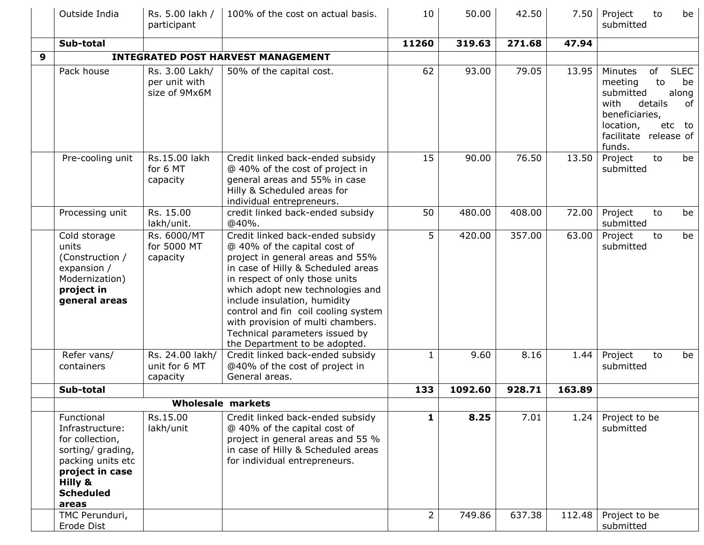|   | Outside India                                                                                                                                         | Rs. 5.00 lakh /<br>participant                   | 100% of the cost on actual basis.                                                                                                                                                                                                                                                                                                                                                               | 10             | 50.00   | 42.50  | 7.50   | Project<br>to<br>be<br>submitted                                                                                                                                               |
|---|-------------------------------------------------------------------------------------------------------------------------------------------------------|--------------------------------------------------|-------------------------------------------------------------------------------------------------------------------------------------------------------------------------------------------------------------------------------------------------------------------------------------------------------------------------------------------------------------------------------------------------|----------------|---------|--------|--------|--------------------------------------------------------------------------------------------------------------------------------------------------------------------------------|
|   | Sub-total                                                                                                                                             |                                                  |                                                                                                                                                                                                                                                                                                                                                                                                 | 11260          | 319.63  | 271.68 | 47.94  |                                                                                                                                                                                |
| 9 |                                                                                                                                                       |                                                  | <b>INTEGRATED POST HARVEST MANAGEMENT</b>                                                                                                                                                                                                                                                                                                                                                       |                |         |        |        |                                                                                                                                                                                |
|   | Pack house                                                                                                                                            | Rs. 3.00 Lakh/<br>per unit with<br>size of 9Mx6M | 50% of the capital cost.                                                                                                                                                                                                                                                                                                                                                                        | 62             | 93.00   | 79.05  | 13.95  | <b>SLEC</b><br>of<br>Minutes<br>to<br>meeting<br>be<br>along<br>submitted<br>with<br>details<br>of<br>beneficiaries,<br>location,<br>etc to<br>facilitate release of<br>funds. |
|   | Pre-cooling unit                                                                                                                                      | Rs.15.00 lakh<br>for 6 MT<br>capacity            | Credit linked back-ended subsidy<br>@ 40% of the cost of project in<br>general areas and 55% in case<br>Hilly & Scheduled areas for<br>individual entrepreneurs.                                                                                                                                                                                                                                | 15             | 90.00   | 76.50  | 13.50  | Project<br>to<br>be<br>submitted                                                                                                                                               |
|   | Processing unit                                                                                                                                       | Rs. 15.00<br>lakh/unit.                          | credit linked back-ended subsidy<br>@40%.                                                                                                                                                                                                                                                                                                                                                       | 50             | 480.00  | 408.00 | 72.00  | Project<br>to<br>be<br>submitted                                                                                                                                               |
|   | Cold storage<br>units<br>(Construction /<br>expansion /<br>Modernization)<br>project in<br>general areas                                              | Rs. 6000/MT<br>for 5000 MT<br>capacity           | Credit linked back-ended subsidy<br>@ 40% of the capital cost of<br>project in general areas and 55%<br>in case of Hilly & Scheduled areas<br>in respect of only those units<br>which adopt new technologies and<br>include insulation, humidity<br>control and fin coil cooling system<br>with provision of multi chambers.<br>Technical parameters issued by<br>the Department to be adopted. | 5              | 420.00  | 357.00 | 63.00  | be<br>Project<br>to<br>submitted                                                                                                                                               |
|   | Refer vans/                                                                                                                                           | Rs. 24.00 lakh/                                  | Credit linked back-ended subsidy                                                                                                                                                                                                                                                                                                                                                                | $\mathbf{1}$   | 9.60    | 8.16   | 1.44   | Project<br>to<br>be                                                                                                                                                            |
|   | containers                                                                                                                                            | unit for 6 MT<br>capacity                        | @40% of the cost of project in<br>General areas.                                                                                                                                                                                                                                                                                                                                                |                |         |        |        | submitted                                                                                                                                                                      |
|   | Sub-total                                                                                                                                             |                                                  |                                                                                                                                                                                                                                                                                                                                                                                                 | 133            | 1092.60 | 928.71 | 163.89 |                                                                                                                                                                                |
|   |                                                                                                                                                       |                                                  | <b>Wholesale markets</b>                                                                                                                                                                                                                                                                                                                                                                        |                |         |        |        |                                                                                                                                                                                |
|   | Functional<br>Infrastructure:<br>for collection,<br>sorting/ grading,<br>packing units etc<br>project in case<br>Hilly &<br><b>Scheduled</b><br>areas | Rs.15.00<br>lakh/unit                            | Credit linked back-ended subsidy<br>@ 40% of the capital cost of<br>project in general areas and 55 %<br>in case of Hilly & Scheduled areas<br>for individual entrepreneurs.                                                                                                                                                                                                                    | 1              | 8.25    | 7.01   | 1.24   | Project to be<br>submitted                                                                                                                                                     |
|   | TMC Perunduri,<br>Erode Dist                                                                                                                          |                                                  |                                                                                                                                                                                                                                                                                                                                                                                                 | $\overline{2}$ | 749.86  | 637.38 | 112.48 | Project to be<br>submitted                                                                                                                                                     |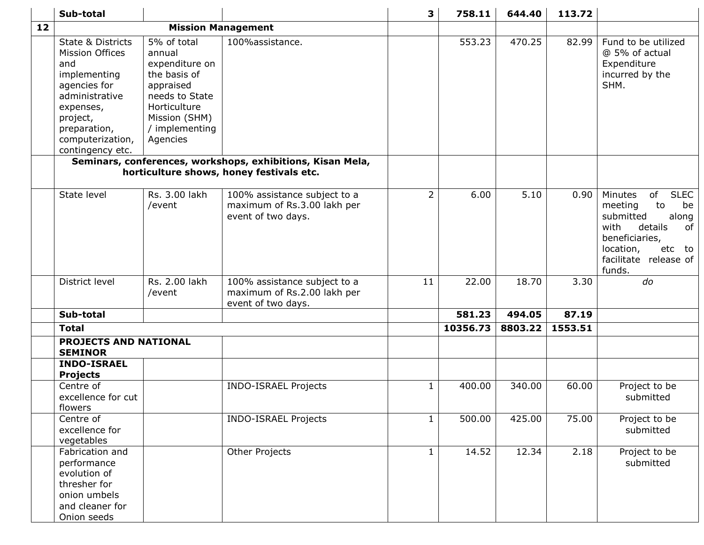|    | Sub-total                                                                                                                                                                                 |                                                                                                                                                       |                                                                                                        | 3              | 758.11   | 644.40  | 113.72  |                                                                                                                                                                                |
|----|-------------------------------------------------------------------------------------------------------------------------------------------------------------------------------------------|-------------------------------------------------------------------------------------------------------------------------------------------------------|--------------------------------------------------------------------------------------------------------|----------------|----------|---------|---------|--------------------------------------------------------------------------------------------------------------------------------------------------------------------------------|
| 12 |                                                                                                                                                                                           |                                                                                                                                                       | <b>Mission Management</b>                                                                              |                |          |         |         |                                                                                                                                                                                |
|    | <b>State &amp; Districts</b><br>Mission Offices<br>and<br>implementing<br>agencies for<br>administrative<br>expenses,<br>project,<br>preparation,<br>computerization,<br>contingency etc. | 5% of total<br>annual<br>expenditure on<br>the basis of<br>appraised<br>needs to State<br>Horticulture<br>Mission (SHM)<br>/ implementing<br>Agencies | 100%assistance.                                                                                        |                | 553.23   | 470.25  | 82.99   | Fund to be utilized<br>@ 5% of actual<br>Expenditure<br>incurred by the<br>SHM.                                                                                                |
|    |                                                                                                                                                                                           |                                                                                                                                                       | Seminars, conferences, workshops, exhibitions, Kisan Mela,<br>horticulture shows, honey festivals etc. |                |          |         |         |                                                                                                                                                                                |
|    | State level                                                                                                                                                                               | Rs. 3.00 lakh<br>/event                                                                                                                               | 100% assistance subject to a<br>maximum of Rs.3.00 lakh per<br>event of two days.                      | $\overline{2}$ | 6.00     | 5.10    | 0.90    | <b>SLEC</b><br>Minutes<br>of<br>to<br>meeting<br>be<br>along<br>submitted<br>with<br>details<br>of<br>beneficiaries,<br>location,<br>etc to<br>facilitate release of<br>funds. |
|    | District level                                                                                                                                                                            | Rs. 2.00 lakh<br>/event                                                                                                                               | 100% assistance subject to a<br>maximum of Rs.2.00 lakh per<br>event of two days.                      | 11             | 22.00    | 18.70   | 3.30    | do                                                                                                                                                                             |
|    | Sub-total                                                                                                                                                                                 |                                                                                                                                                       |                                                                                                        |                | 581.23   | 494.05  | 87.19   |                                                                                                                                                                                |
|    | <b>Total</b>                                                                                                                                                                              |                                                                                                                                                       |                                                                                                        |                | 10356.73 | 8803.22 | 1553.51 |                                                                                                                                                                                |
|    | PROJECTS AND NATIONAL<br><b>SEMINOR</b>                                                                                                                                                   |                                                                                                                                                       |                                                                                                        |                |          |         |         |                                                                                                                                                                                |
|    | <b>INDO-ISRAEL</b><br><b>Projects</b>                                                                                                                                                     |                                                                                                                                                       |                                                                                                        |                |          |         |         |                                                                                                                                                                                |
|    | Centre of<br>excellence for cut<br>flowers                                                                                                                                                |                                                                                                                                                       | <b>INDO-ISRAEL Projects</b>                                                                            | $\mathbf{1}$   | 400.00   | 340.00  | 60.00   | Project to be<br>submitted                                                                                                                                                     |
|    | Centre of<br>excellence for<br>vegetables                                                                                                                                                 |                                                                                                                                                       | INDO-ISRAEL Projects                                                                                   |                | 500.00   | 425.00  | 75.00   | Project to be<br>submitted                                                                                                                                                     |
|    | Fabrication and<br>performance<br>evolution of<br>thresher for<br>onion umbels<br>and cleaner for<br>Onion seeds                                                                          |                                                                                                                                                       | Other Projects                                                                                         | 1              | 14.52    | 12.34   | 2.18    | Project to be<br>submitted                                                                                                                                                     |